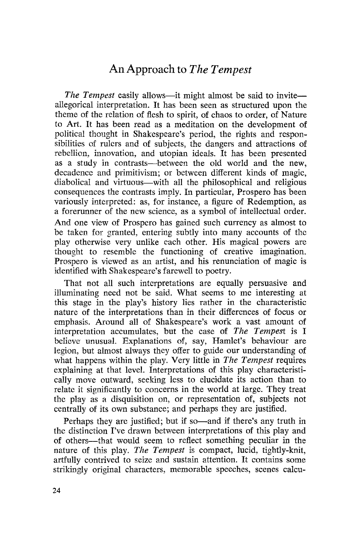# An Approach to *The Tempest*

*The Tempest* easily allows—it might almost be said to invite allegorical interpretation. It has been seen as structured upon the theme of the relation of flesh to spirit, of chaos to order, of Nature to Art. It has been read as a meditation on the development of political thought in Shakespeare's period, the rights and responsibilities of rulers and of subjects, the dangers and attractions of rebellion, innovation, and utopian ideals. It has been presented as a study in contrasts—between the old world and the new, decadence and primitivism; or between different kinds of magic, diabolical and virtuous—with all the philosophical and religious consequences the contrasts imply. In particular, Prospero has been variously interpreted: as, for instance, a figure of Redemption, as a forerunner of the new science, as a symbol of intellectual order. And one view of Prospero has gained such currency as almost to be taken for granted, entering subtly into many accounts of the play otherwise very unlike each other. His magical powers are thought to resemble the functioning of creative imagination. Prospero is viewed as an artist, and his renunciation of magic is identified with Shakespeare's farewell to poetry.

That not all such interpretations are equally persuasive and illuminating need not be said. What seems to me interesting at this stage in the play's history lies rather in the characteristic nature of the interpretations than in their differences of focus or emphasis. Around all of Shakespeare's work a vast amount of interpretation accumulates, but the case of *The Tempest* is I believe unusual. Explanations of, say, Hamlet's behaviour are legion, but almost always they offer to guide our understanding of what happens within the play. Very little in *The Tempest* requires explaining at that level. Interpretations of this play characteristically move outward, seeking less to elucidate its action than to relate it significantly to concerns in the world at large. They treat the playas a disquisition on, or representation of, subjects not centrally of its own substance; and perhaps they are justified.

Perhaps they are justified; but if so-and if there's any truth in the distinction I've drawn between interpretations of this play and of others-that would seem to reflect something peculiar in the nature of this play. *The Tempest* is compact, lucid, tightly-knit, artfully contrived to seize and sustain attention. It contains some strikingly original characters, memorable speeches, scenes ca1cu-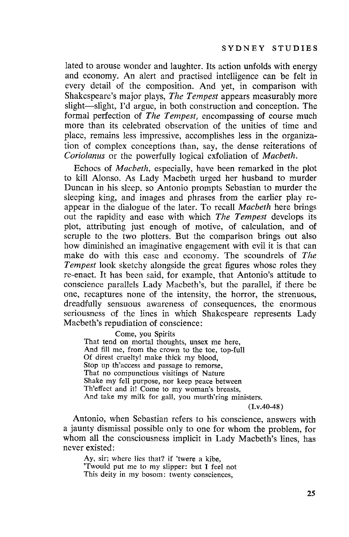lated to arouse wonder and laughter. Its action unfolds with energy and economy. An alert and practised intelligence can be felt in every detail of the composition. And yet, in comparison with Shakespeare's major plays, *The Tempest* appears measurably more slight-slight, I'd argue, in both construction and conception. The formal perfection of *The Tempest,* encompassing of course much more than its celebrated observation of the unities of time and place, remains less impressive, accomplishes less in the organization of complex conceptions than, say, the dense reiterations of *Coriolanus* or the powerfully logical exfoliation of *Macbeth.*

Echoes of *Macbeth,* especially, have been remarked in the plot to kill Alonso. As Lady Macbeth urged her husband to murder Duncan in his sleep. so Antonio prompts Sebastian to murder the sleeping king, and images and phrases from the earlier play reappear in the dialogue of the later. To recall *Macbeth* here brings out the rapidity and ease with which *The Tempest* develops its plot, attributing just enough of motive, of calculation, and of scruple to the two plotters. But the comparison brings out also how diminished an imaginative engagement with evil it is that can make do with this ease and economy. The scoundrels of *The Tempest* look sketchy alongside the great figures whose roles they re-enact. It has been said, for example, that Antonio's attitude to conscience parallels Lady Macbeth's, but the parallel, if there be one, recaptures none of the intensity, the horror, the strenuous, dreadfully sensuous awareness of consequences, the enormous seriousness of the lines in which Shakespeare represents Lady Macbeth's repudiation of conscience:

Come, you Spirits

That tend on mortal thoughts, unsex me here, And fill me, from the crown to the toe, top-full Of direst cruelty! make thick my blood, Stop up th'access and passage to remorse, That no compunctious visitings of Nature Shake my fell purpose, nor keep peace between Th'effect and it! Come to my woman's breasts, And take my milk for gall, you murth'ring ministers.

(I.v.40-48)

Antonio, when Sebastian refers to his conscience, answers with a jaunty dismissal possible only to one for whom the problem, for whom all the consciousness implicit in Lady Macbeth's lines, has never existed:

Ay, sir; where lies that? if 'twere a kibe, 'Twould put me to my slipper: but I feel not This deity in my bosom: twenty consciences,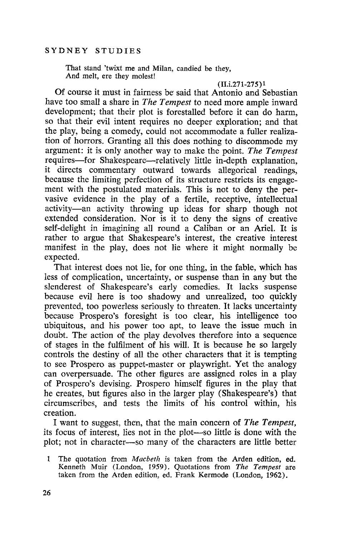That stand 'twixt me and Milan, candied be they, And melt, ere they molest!

(II.i.271-275)1

Of course it must in fairness be said that Antonio and Sebastian have too small a share in *The Tempest* to need more ample inward development; that their plot is forestalled before it can do harm, so that their evil intent requires no deeper exploration; and that the play, being a comedy, could not accommodate a fuller realization of horrors. Granting all this does nothing to discommode my argument: it is only another way to make the point. *The Tempest* requires-for Shakespeare-relatively little in-depth explanation, it directs commentary outward towards allegorical readings, because the limiting perfection of its structure restricts its engagement with the postulated materials. This is not to deny the pervasive evidence in the play of a fertile, receptive, intellectual activity-an activity throwing up ideas for sharp though not extended consideration. Nor is it to deny the signs of creative self-delight in imagining all round a Caliban or an Ariel. It is rather to argue that Shakespeare's interest, the creative interest manifest in the play, does not lie where it might normally be expected.

That interest does not lie, for one thing, in the fable, which has less of complication, uncertainty, or suspense than in any but the slenderest of Shakespeare's early comedies. It lacks suspense because evil here is too shadowy and unrealized, too quickly prevented, too powerless seriously to threaten. It lacks uncertainty because Prospero's foresight is too clear, his intelligence too ubiquitous, and his power too apt, to leave the issue much in doubt. The action of the play devolves therefore into a sequence of stages in the fulfilment of his will. It is because he so largely controls the destiny of all the other characters that it is tempting to see Prospero as puppet-master or playwright. Yet the analogy can overpersuade. The other figures are assigned roles in a play of Prospero's devising. Prospero himself figures in the play that he creates, but figures also in the larger play (Shakespeare's) that circumscribes, and tests the limits of his control within, his creation.

I want to suggest, then, that the main concern of *The Tempest,* its focus of interest, lies not in the plot-so little is done with the plot; not in character-so many of the characters are little better

 $\mathbf{1}$ The quotation from *Macbeth* is taken from the Arden edition, ed. Kenneth Muir (London, 1959). Quotations from *The Tempest* are taken from the Arden edition, ed. Frank Kermode (London, 1962).

26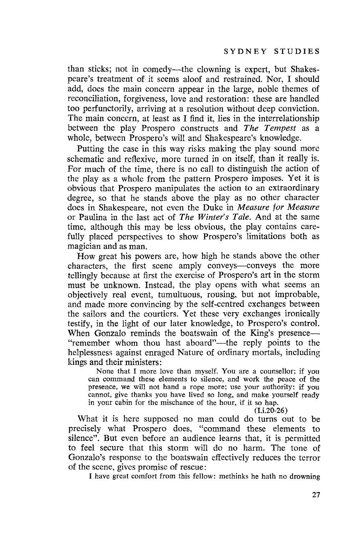than sticks; not in comedy—the clowning is expert, but Shakespeare's treatment of it seems aloof and restrained. Nor, I should add, does the main concern appear in the large, noble themes of reconciliation, forgiveness, love and restoration: these are handled too perfunctorily, arriving at a resolution without deep conviction. The main concern, at least as I find it, lies in the interrelationship between the play Prospero constructs and *The Tempest* as a whole, between Prospero's will and Shakespeare's knowledge.

Putting the case in this way risks making the play sound morc schematic and reflexive, more turned in on itself, than it really is. For much of the time, there is no call to distinguish the action of the playas a whole from the pattern Prospero imposes. Yet it is obvious that Prospero manipulates the action to an extraordinary degree, so that he stands above the play as no other character does in Shakespeare, not even the Duke in *Measure for Measure* or Paulina in the last act of *The Winter's Tale.* And at the same time, although this may be less obvious, the play contains carefully placed perspectives to show Prospero's limitations both as magician and as man.

How great his powers are, how high he stands above the other characters, the first scene amply conveys-conveys the more tellingly because at first the exercise of Prospero's art in the storm must be unknown. Instead, the play opens with what seems an objectively real event, tumultuous, rousing, but not improbable, and made more convincing by the self-centred exchanges between the sailors and the courtiers. Yet these very exchanges ironically testify, in the light of our later knowledge, to Prospero's control. When Gonzalo reminds the boatswain of the King's presence-"remember whom thou hast aboard"—the reply points to the helplessness against enraged Nature of ordinary mortals, including kings and their ministers:

None that I more love than myself. You are a counsellor; if you can command these elements to silence, and work the peace of the presence, we will not hand a rope more; use your authority: if you cannot, give thanks you have lived so long, and make yourself ready in your cabin for the mischance of the hour, if it so hap.

(I.i.20-26)

What it is here supposed no man could do turns out to be precisely what Prospero does, "command these elements to silence". But even before an audience learns that, it is permitted to feel secure that this storm will do no harm. The tone of Gonzalo's response to the boatswain effectively reduces the terror of the scene, gives promise of rescue:

I have great comfort from this fellow: methinks he hath no drowning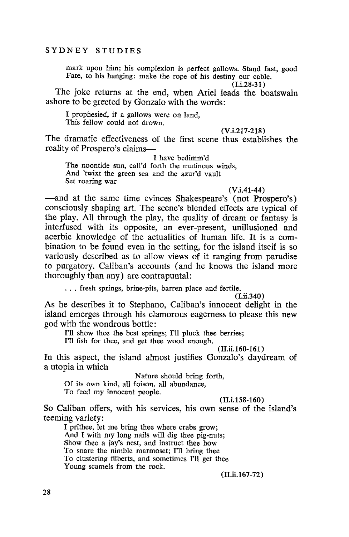mark upon him; his complexion is perfect gallows. Stand fast, good Fate, to his hanging: make the rope of his destiny our cable.

 $(I.i.28-31)$ 

The joke returns at the end, when Ariel leads the boatswain ashore to be greeted by Gonzalo with the words:

I prophesied, if a gallows were on land, This fellow could not drown.

(V.i.217-218)

The dramatic effectiveness of the first scene thus establishes the reality of Prospero's claims-

I have bedimm'd The noontide sun, call'd forth the mutinous winds, And 'twixt the green sea and the azur'd vault Set roaring war

#### $(V.i.41-44)$

-and at the same time evinces Shakespeare's (not Prospero's) consciously shaping art. The scene's blended effects are typical of the play. All through the play, the quality of dream or fantasy is interfused with its opposite, an ever-present, unillusioned and acerbic knowledge of the actualities of human life. It is a combination to be found even in the setting, for the island itself is so variously described as to allow views of it ranging from paradise to purgatory. Caliban's accounts (and he knows the island more thoroughly than any) are contrapuntal:

... fresh springs, brine-pits, barren place and fertile.

(I.ii.340)

As he describes it to Stephano, Caliban's innocent delight in the island emerges through his clamorous eagerness to please this new god with the wondrous bottle:

I'll show thee the best springs; I'll pluck thee berries;

I'll fish for thee, and get thee wood enough.

# (II.ii.160-161 )

In this aspect, the island almost justifies Gonzalo's daydream of a utopia in which

Nature should bring forth,

Of its own kind, all foison, all abundance,

To feed my innocent people.

#### (II.i.158-160)

So Caliban offers, with his services, his own sense of the island's teeming variety:

I prithee, let me bring thee where crabs grow; And I with my long nails will dig thee pig-nuts; Show thee a jay's nest, and instruct thee how To snare the nimble marmoset; I'll bring thee To clustering filberts, and sometimes I'll get thee Young scamels from the rock.

(II.ii.167-72)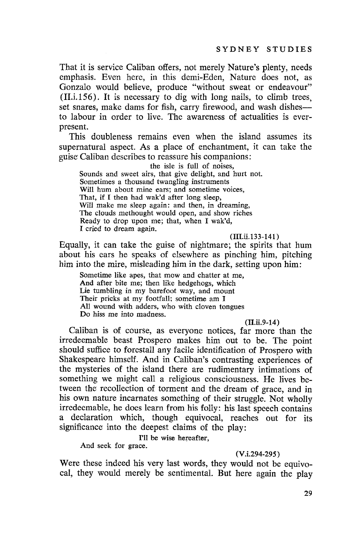That it is service Caliban offers, not merely Nature's plenty, needs emphasis. Even here, in this demi-Eden, Nature does not, as Gonzalo would believe, produce "without sweat or endeavour" (II.i.156). It is necessary to dig with long nails, to climb trees, set snares, make dams for fish, carry firewood, and wash dishesto labour in order to live. The awareness of actualities is everpresent.

This doubleness remains even when the island assumes its supernatural aspect. As a place of enchantment, it can take the guise Caliban describes to reassure his companions;

the isle is full of noises, Sounds and sweet airs, that give delight, and hurt not. Sometimes a thousand twangling instruments Will hum about mine ears; and sometime voices, That, if I then had wak'd after long sleep, Will make me sleep again: and then, in dreaming, The clouds methought would open, and show riches Ready to drop upon me; that, when I wak'd, I cried to dream again.

 $(III.ii.133-141)$ 

Equally, it can take the guise of nightmare; the spirits that hum about his ears he speaks of elsewhere as pinching him, pitching him into the mire, misleading him in the dark, setting upon him;

Sometime like apes, that mow and chatter at me, And after bite me; then like hedgehogs, which Lie tumbling in my barefoot way, and mount Their pricks at my footfall; sometime am I All wound with adders, who with cloven tongues Do hiss me into madness.

(II.ii.9-14)

Caliban is of course, as everyone notices, far more than the irredeemable beast Prospero makes him out to be. The point should suffice to forestall any facile identification of Prospero with Shakespeare himself. And in Caliban's contrasting experiences of the mysteries of the island there are rudimentary intimations of something we might call a religious consciousness. He lives between the recollection of torment and the dream of grace, and in his own nature incarnates something of their struggle. Not wholly irredeemable, he does learn from his folly: his last speech contains a declaration which, though equivocal, reaches out for its significance into the deepest claims of the play:

I'll be wise hereafter,

And seek for grace.

(V.i.294-295)

Were these indeed his very last words, they would not be equivocal, they would merely be sentimental. But here again the play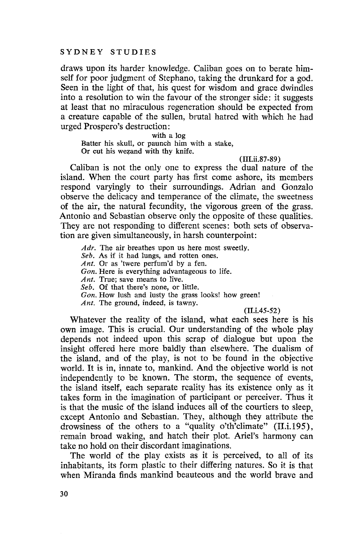draws upon its harder knowledge. Caliban goes on to berate himself for poor judgment of Stephano, taking the drunkard for a god. Seen in the light of that, his quest for wisdom and grace dwindles into a resolution to win the favour of the stronger side: it suggests at least that no miraculous regeneration should be expected from a creature capable of the sullen, brutal hatred with which he had urged Prospero's destruction:

with a log

Batter his skull, or paunch him with a stake, Or cut his wezand with thy knife.

(III.ii.87-89)

Caliban is not the only one to express the dual nature of the island. When the court party has first come ashore, its members respond varyingly to their surroundings. Adrian and Gonzalo observe the delicacy and temperance of the climate, the sweetness of the air, the natural fecundity, the vigorous green of the grass. Antonio and Sebastian observe only the opposite of these qualities. They are not responding to different scenes: both sets of observation are given simultaneously, in harsh counterpoint:

 $Adr$ . The air breathes upon us here most sweetly.

*Seb.* As if it had lungs, and rotten ones.

*Ant.* Or as 'twere perfum'd by a fen.

*Gon.* Here is everything advantageous to life.

*Ant.* True; save means to live.

*Seb.* Of that there's none, or little.

*Gon.* How lush and lusty the grass looks! how green!

*Ant.* The ground, indeed, is tawny.

## (II.i.45-52)

Whatever the reality of the island, what each sees here is his own image. This is crucial. Our understanding of the whole play depends not indeed upon this scrap of dialogue but upon the insight offered here more baldly than elsewhere. The dualism of the island, and of the play, is not to be found in the objective world. It is in, innate to, mankind. And the objective world is not independently to be known. The storm, the sequence of events, the island itself, each separate reality has its existence only as it takes form in the imagination of participant or perceiver. Thus it is that the music of the island induces all of the courtiers to sleep, except Antonio and Sebastian. They, although they attribute the drowsiness of the others to a "quality o'th'climate" (II.i.195), remain broad waking, and hatch their plot. Ariel's harmony can take no hold on their discordant imaginations.

The world of the play exists as it is perceived, to all of its inhabitants, its form plastic to their differing natures. So it is that when Miranda finds mankind beauteous and the world brave and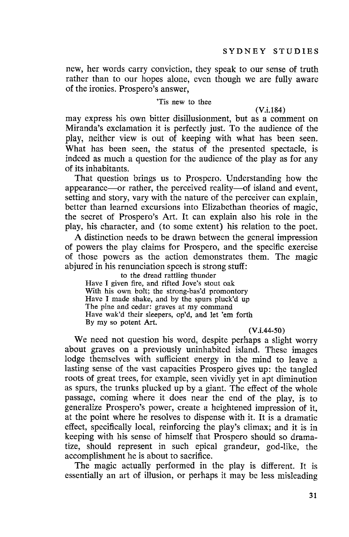new, her words carry conviction, they speak to our sense of truth rather than to our hopes alone, even though we are fully aware of the ironies. Prospero's answer,

### 'Tis new to thee

(V.i.184)

may express his own bitter disillusionment, but as a comment on Miranda's exclamation it is perfectly just. To the audience of the play, neither view is out of keeping with what has been seen. What has been seen, the status of the presented spectacle, is indeed as much a question for the audience of the playas for any of its inhabitants.

That question brings us to Prospero. Understanding how the appearance—or rather, the perceived reality—of island and event, setting and story, vary with the nature of the perceiver can explain, better than learned excursions into Elizabethan theories of magic, the secret of Prospero's Art. It can explain also his role in the play, his character, and (to some extent) his relation to the poet.

A distinction needs to be drawn between the general impression of powers the play claims for Prospero, and the specific exercise of those powers as the action demonstrates them. The magic abjured in his renunciation speech is strong stuff:

to the dread rattling thunder Have I given fire, and rifted Jove's stout oak With his own bolt; the strong-bas'd promontory Have I made shake, and by the spurs pluck'd up The pine and cedar: graves at my command Have wak'd their sleepers, op'd, and let 'em forth By my so potent Art.

#### (V.i.44-50)

We need not question his word, despite perhaps a slight worry about graves on a previously uninhabited island. These images lodge themselves with sufficient energy in the mind to leave a lasting sense of the vast capacities Prospero gives up: the tangled roots of great trees, for example, seen vividly yet in apt diminution as spurs, the trunks plucked up by a giant. The effect of the whole passage, coming where it does near the end of the play, is to generalize Prospero's power, create a heightened impression of it, at the point where he resolves to dispense with it. It is a dramatic effect, specifically local, reinforcing the play's climax; and it is in keeping with his sense of himself that Prospero should so dramatize, should represent in such epical grandeur, god-like, the accomplishment he is about to sacrifice.

The magic actually performed in the play is different. It is essentially an art of illusion, or perhaps it may be less misleading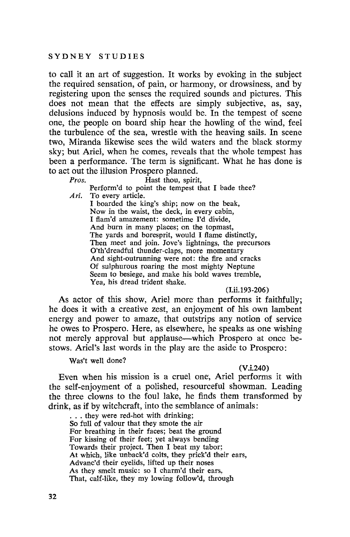to call it an art of suggestion. It works by evoking in the subject the required sensation, of pain, or harmony, or drowsiness, and by registering upon the senses the required sounds and pictures. This does not mean that the effects are simply subjective, as, say, delusions induced by hypnosis would be. In the tempest of scene one, the people on board ship hear the howling of the wind, feel the turbulence of the sea, wrestle with the heaving sails. In scene two, Miranda likewise sees the wild waters and the black stormy sky; but Ariel, when he comes, reveals that the whole tempest has been a performance. The term is significant. What he has done is to act out the illusion Prospero planned.<br>*Pros.* Hast thou, spirit

Hast thou, spirit,

Perform'd to point the tempest that I bade thee? *Ari.* To every article.

I boarded the king's ship; now on the beak, Now in the waist, the deck, in every cabin, I flam'd amazement: sometime I'd divide, And burn in many places; on the topmast, The yards and boresprit, would I flame distinctly, Then meet and join. Jove's lightnings, the precursors O'th'dreadful thunder-claps, more momentary And sight-outrunning were not: the fire and cracks Of sulphurous foaring the most mighty Neptune Seem to besiege, and make his bold waves tremble, Yea, his dread trident shake.

#### (I.ii.193-206)

As aetor of this show, Ariel more than performs it faithfully; he does it with a creative zest, an enjoyment of his own lambent energy and power to amaze, that outstrips any notion of service he owes to Prospero. Here, as elsewhere, he speaks as one wishing not merely approval but applause—which Prospero at once bestows. Ariel's last words in the play are the aside to Prospero:

Was't well done?

#### (V.i.240)

Even when his mission is a cruel one, Ariel performs it with the self-enjoyment of a polished, resourceful showman. Leading the three clowns to the foul lake, he finds them transformed by drink, as if by witchcraft, into the semblance of animals:

... they were red-hot with drinking; So full of valour that they smote the air For breathing in their faces; beat the ground For kissing of their feet; yet always bending Towards their project. Then I beat my tabor; At which, like unback'd colts, they prick'd their ears, Advanc'd their eyelids, lifted up their noses As they smelt music: so I charm'd their ears, That, calf-like, they my lowing follow'd, through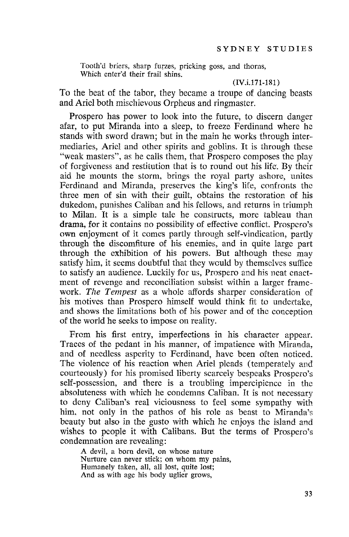Tooth'd briers, sharp furzes, pricking goss, and thorns, Which enter'd their frail shins.

# (IV.i.171-ISl)

To the beat of the tabor, they became a troupe of dancing beasts and Ariel both mischievous Orpheus and ringmaster.

Prospera has power to look into the future, to discern danger afar, to put Miranda into a sleep, to freeze Ferdinand where he stands with sword drawn; but in the main he works through intermediaries, Ariel and other spirits and goblins. It is through these "weak masters", as he calls them, that Prospera composes the play of forgiveness and restitution that is to round out his life. By their aid he mounts the storm, brings the royal party ashore, unites Ferdinand and Miranda, preserves the king's life, confronts the three men of sin with their guilt, obtains the restoration of his dukedom, punishes Caliban and his fellows, and returns in triumph to Milan. It is a simple tale he constructs, more tableau than drama, for it contains no possibility of effective conflict. Prospera's own enjoyment of it comes partly through self-vindication, partly through the discomfiture of his enemies, and in quite large part through the exhibition of his powers. But although these may satisfy him, it seems doubtful that they would by themselves suffice to satisfy an audience. Luckily for us, Prospera and his neat enactment of revenge and reconciliation subsist within a larger framework. *The Tempest* as a whole affords sharper consideration of his motives than Prospero himself would think fit to undertake, and shows the limitations both of his power and of the conception of the world he seeks to impose on reality.

From his first entry, imperfections in his character appear. Traces of the pedant in his manner, of impatience with Miranda, and of needless asperity to Ferdinand, have been often noticed. The violence of his reaction when Ariel pleads (temperately and courteously) for his promised liberty scarcely bespeaks Prospera's self-possession, and there is a troubling impercipience in the absoluteness with which he condemns Caliban. It is not necessary to deny Caliban's real viciousness to feel some sympathy with him, not only in the pathos of his role as beast to Miranda's beauty but also in the gusto with which he enjoys the island and wishes to people it with Calibans. But the terms of Prospero's condemnation are revealing:

A devil, a born devil, on whose nature Nurture can never stick; on whom my pains, Humanely taken, all, all lost, quite lost; And as with age his body uglier grows,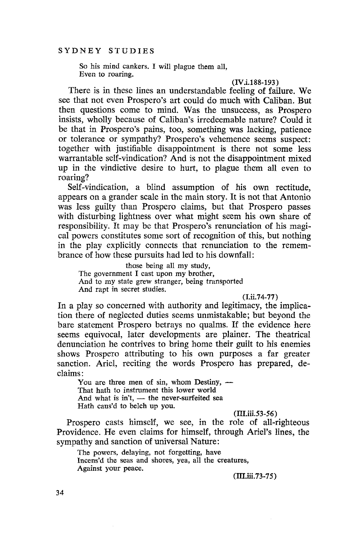So his mind cankers. I will plague them all, Even to roaring.

#### (IV.i.188-193)

There is in these lines an understandable feeling of failure. We see that not even Prospero's art could do much with Caliban. But then questions come to mind. Was the unsuccess, as Prospero insists, wholly because of Caliban's irredeemable nature? Could it be that in Prospero's pains, too, something was lacking, patience or tolerance or sympathy? Prospero's vehemence seems suspect: together with justifiable disappointment is there not some less warrantable self-vindication? And is not the disappointment mixed up in the vindictive desire to hurt, to plague them all even to roaring?

Self-vindication, a blind assumption of his own rectitude, appears on a grander scale in the main story. It is not that Antonio was less guilty than Prospero claims, but that Prospero passes with disturbing lightness over what might seem his own share of responsibility. It may be that Prospero's renunciation of his magical powers constitutes some sort of recognition of this, but nothing in the play explicitly connects that renunciation to the remembrance of how these pursuits had led to his downfall:

those being all my study, The government I cast upon my brother, And to my state grew stranger, being transported And rapt in secret studies.

(I.ii.74-77)

In a play so concerned with authority and legitimacy, the implication there of neglected duties seems unmistakable; but beyond the bare statement Prospero betrays no qualms. If the evidence here seems equivocal, later developments are plainer. The theatrical denunciation he contrives to bring home their guilt to his enemies shows Prospero attributing to his own purposes a far greater sanction. Ariel, reciting the words Prospero has prepared, declaims:

You are three men of sin, whom Destiny,  $-$ That hath to instrument this lower world And what is  $in't$ ,  $-$  the never-surfeited sea Hath caus'd to belch up you.

#### (I1I.iii.53-56)

Prospero casts himself, we see, in the role of all-righteous Providence. He even claims for himself, through Ariel's lines, the sympathy and sanction of universal Nature:

The powers, delaying, not forgetting, have Incens'd the seas and shores, yea, all the creatures, Against your peace.

(I1I.iii.73-75)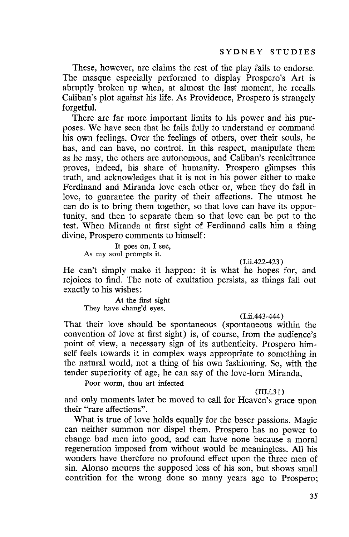These, however, are claims the rest of the play fails to endorse. The masque especially performed to display Prospera's Art is abruptly broken up when, at almost the last moment, he recalls Caliban's plot against his life. As Providence, Prospera is strangely forgetful.

There are far more important limits to his power and his purposes. We have seen that he fails fully to understand or command his own feelings. Over the feelings of others, over their souls, he has, and can have, no control. In this respect, manipulate them as he may, the others are autonomous, and Caliban's recalcitrance proves, indeed, his share of humanity. Prospero glimpses this truth, and acknowledges that it is not in his power either to make Ferdinand and Miranda love eaeh other or, when they do fall in love, to guarantee the purity of their affections. The utmost he can do is to bring them together, so that love can have its opportunity, and then to separate them so that love can be put to the test. When Miranda at first sight of Ferdinand calls him a thing divine, Prospera comments to himself:

It goes on, I see, As my soul prompts it.

(l.ii.422-423 )

He can't simply make it happen: it is what he hopes for, and rejoices to find. The note of exultation persists, as things fall out exactly to his wishes:

At the first sight They have chang'd eyes.

(I.ii.443-444 )

That their love should be spontaneous (spontaneous within the convention of love at first sight) is, of course, from the audience's point of view, a necessary sign of its authenticity. Prospera himself feels towards it in complex ways appropriate to something in the natural world, not a thing of his own fashioning. So, with the tender superiority of age, he can say of the love-lorn Miranda,

Poor worm, thou art infected

 $(III.i.31)$ 

and only moments later be moved to call for Heaven's grace upon their "rare affections".

What is true of love holds equally for the baser passions. Magic can neither summon nor dispel them. Prospera has no power to change bad men into good, and can have none because a moral regeneration imposed from without would be meaningless. All his wonders have therefore no profound effect upon the three men of sin. Alonso mourns the supposed loss of his son, but shows small contrition for the wrong done so many years ago to Prospero;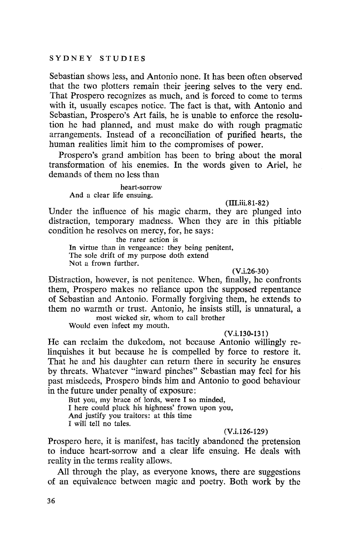Sebastian shows less, and Antonio none. It has been often observed that the two plotters remain their jeering selves to the very end. That Prospero recognizes as much, and is forced to come to terms with it, usually escapes notice. The fact is that, with Antonio and Sebastian, Prospero's Art fails, he is unable to enforce the resolution he had planned, and must make do with rough pragmatic arrangements. Instead of a reconciliation of purified hearts, the human realities limit him to the compromises of power.

Prospero's grand ambition has been to bring about the moral transformation of his enemies. **In** the words given to Ariel, he demands of them no less than

heart-sorrow And a clear life ensuing.

## (III.iii.81-82)

Under the influence of his magic charm, they are plunged into distraction, temporary madness. When they are in this pitiable condition he resolves on mercy, for, he says:

the rarer action is

In virtue than in vengeance: they being penitent, The sole drift of my purpose doth extend Not a frown further.

#### $(V.i.26-30)$

Distraction, however, is not penitence. When, finally, he confronts them, Prospero makes no reliance upon the supposed repentance of Sebastian and Antonio. Formally forgiving them, he extends to them no warmth or trust. Antonio, he insists still, is unnatural, a

most wicked sir, whom to call brother Would even infect my mouth.

## (V.i.13O-13l)

He can reclaim the dukedom, not because Antonio willingly relinquishes it but because he is compelled by force to restore it. That he and his daughter can return there in security he ensures by threats. Whatever "inward pinches" Sebastian may feel for his past misdeeds, Prospera binds him and Antonio to good behaviour in the future under penalty of exposure:

But you, my brace of lords, were I so minded, I here could pluck his highness' frown upon you, And justify you traitors: at this time I will tell no tales.

## (V.i.126-129 )

Prospero here, it is manifest, has tacitly abandoned the pretension to induce heart-sorrow and a clear life ensuing. He deals with reality in the terms reality allows.

All through the play, as everyone knows, there are suggestions of an equivalence between magic and poetry. Both work by the